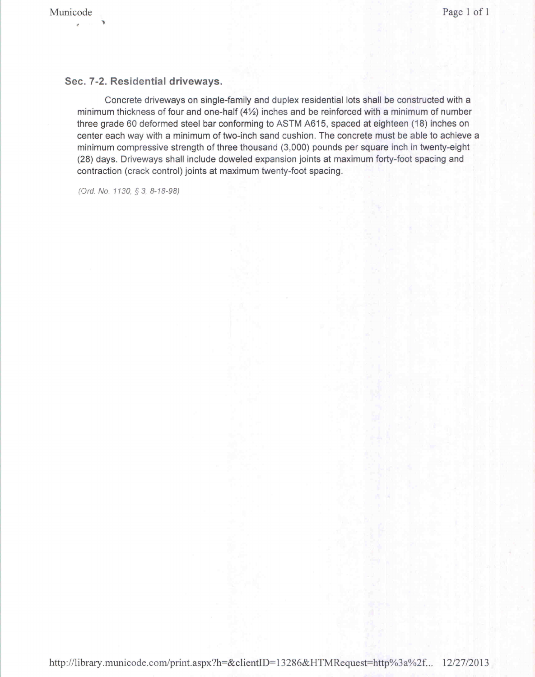## **Sec. 7-2. Residential driveways.**

Concrete driveways on single-family and duplex residential lots shall be constructed with a minimum thickness of four and one-half (4%) inches and be reinforced with a minimum of number three grade 60 deformed steel bar conforming to ASTM A615, spaced at eighteen (18) inches on center each way with a minimum of two-inch sand cushion. The concrete must be able to achieve a minimum compressive strength of three thousand (3,000) pounds per square inch in twenty-eight (28) days. Driveways shall include doweled expansion joints at maximum forty-foot spacing and contraction (crack control) joints at maximum twenty-foot spacing.

*(Ord. No. 1130,* § 3, 8-18-98)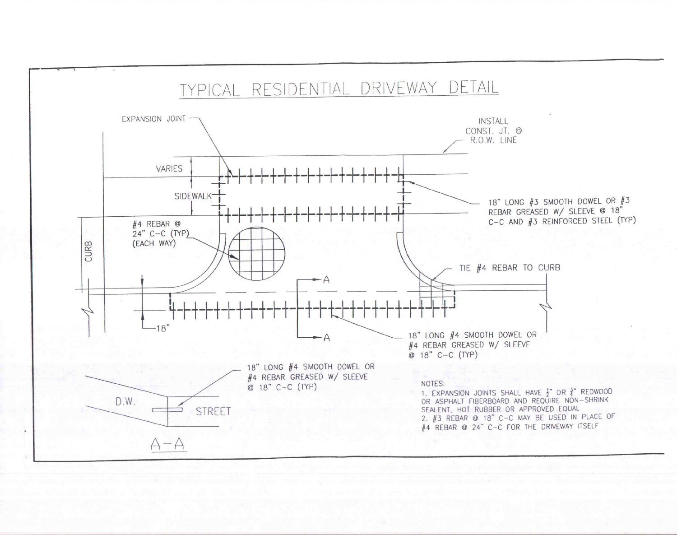